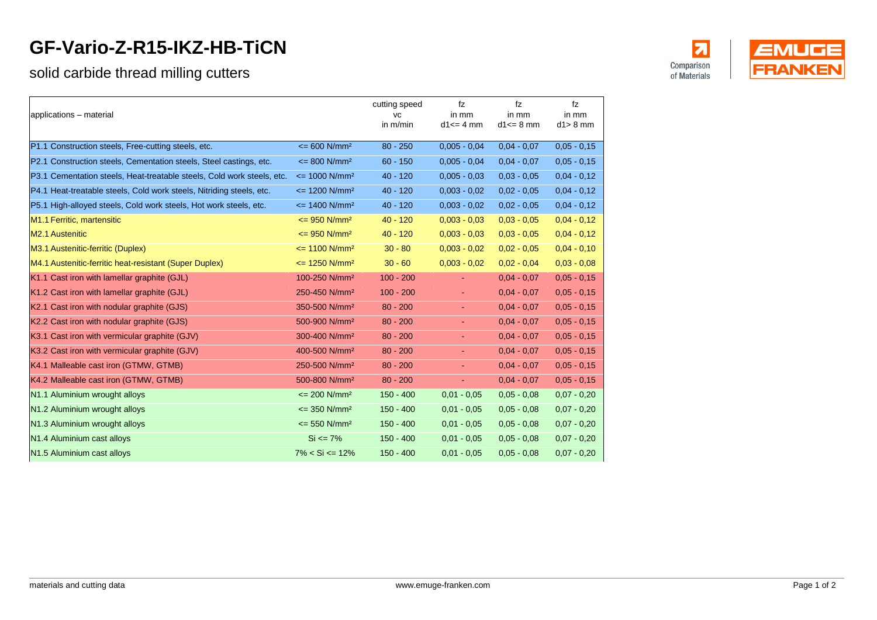## **GF-Vario-Z-R15-IKZ-HB-TiCN**

## solid carbide thread milling cutters

| applications - material                                                |                                     | cutting speed<br>VC<br>in m/min | fz<br>in mm<br>$d1 \leq d$ mm | fz<br>in mm<br>$d1 \leq d$ mm | fz<br>in mm<br>$d1 > 8$ mm |
|------------------------------------------------------------------------|-------------------------------------|---------------------------------|-------------------------------|-------------------------------|----------------------------|
| P1.1 Construction steels, Free-cutting steels, etc.                    | $\epsilon$ = 600 N/mm <sup>2</sup>  | $80 - 250$                      | $0,005 - 0,04$                | $0,04 - 0,07$                 | $0,05 - 0,15$              |
| P2.1 Construction steels, Cementation steels, Steel castings, etc.     | $\epsilon$ = 800 N/mm <sup>2</sup>  | $60 - 150$                      | $0.005 - 0.04$                | $0.04 - 0.07$                 | $0,05 - 0,15$              |
| P3.1 Cementation steels, Heat-treatable steels, Cold work steels, etc. | $\epsilon$ = 1000 N/mm <sup>2</sup> | $40 - 120$                      | $0.005 - 0.03$                | $0.03 - 0.05$                 | $0,04 - 0,12$              |
| P4.1 Heat-treatable steels, Cold work steels, Nitriding steels, etc.   | $\epsilon$ = 1200 N/mm <sup>2</sup> | $40 - 120$                      | $0.003 - 0.02$                | $0,02 - 0,05$                 | $0,04 - 0,12$              |
| P5.1 High-alloyed steels, Cold work steels, Hot work steels, etc.      | $\epsilon$ = 1400 N/mm <sup>2</sup> | $40 - 120$                      | $0,003 - 0,02$                | $0,02 - 0,05$                 | $0,04 - 0,12$              |
| M1.1 Ferritic, martensitic                                             | $\epsilon$ = 950 N/mm <sup>2</sup>  | $40 - 120$                      | $0.003 - 0.03$                | $0,03 - 0,05$                 | $0,04 - 0,12$              |
| <b>M2.1 Austenitic</b>                                                 | $\epsilon$ = 950 N/mm <sup>2</sup>  | $40 - 120$                      | $0,003 - 0,03$                | $0,03 - 0,05$                 | $0,04 - 0,12$              |
| M3.1 Austenitic-ferritic (Duplex)                                      | $\epsilon$ = 1100 N/mm <sup>2</sup> | $30 - 80$                       | $0,003 - 0,02$                | $0,02 - 0,05$                 | $0,04 - 0,10$              |
| M4.1 Austenitic-ferritic heat-resistant (Super Duplex)                 | $\epsilon$ = 1250 N/mm <sup>2</sup> | $30 - 60$                       | $0.003 - 0.02$                | $0.02 - 0.04$                 | $0.03 - 0.08$              |
| K1.1 Cast iron with lamellar graphite (GJL)                            | 100-250 N/mm <sup>2</sup>           | $100 - 200$                     | $\blacksquare$                | $0.04 - 0.07$                 | $0,05 - 0,15$              |
| K1.2 Cast iron with lamellar graphite (GJL)                            | 250-450 N/mm <sup>2</sup>           | $100 - 200$                     | ÷.                            | $0.04 - 0.07$                 | $0,05 - 0,15$              |
| K2.1 Cast iron with nodular graphite (GJS)                             | 350-500 N/mm <sup>2</sup>           | $80 - 200$                      | $\sim$                        | $0.04 - 0.07$                 | $0,05 - 0,15$              |
| K2.2 Cast iron with nodular graphite (GJS)                             | 500-900 N/mm <sup>2</sup>           | $80 - 200$                      | ÷                             | $0.04 - 0.07$                 | $0,05 - 0,15$              |
| K3.1 Cast iron with vermicular graphite (GJV)                          | 300-400 N/mm <sup>2</sup>           | $80 - 200$                      | $\blacksquare$                | $0.04 - 0.07$                 | $0,05 - 0,15$              |
| K3.2 Cast iron with vermicular graphite (GJV)                          | 400-500 N/mm <sup>2</sup>           | $80 - 200$                      | ÷                             | $0.04 - 0.07$                 | $0.05 - 0.15$              |
| K4.1 Malleable cast iron (GTMW, GTMB)                                  | 250-500 N/mm <sup>2</sup>           | $80 - 200$                      | ÷                             | $0.04 - 0.07$                 | $0,05 - 0,15$              |
| K4.2 Malleable cast iron (GTMW, GTMB)                                  | 500-800 N/mm <sup>2</sup>           | $80 - 200$                      | $\blacksquare$                | $0.04 - 0.07$                 | $0,05 - 0,15$              |
| N1.1 Aluminium wrought alloys                                          | $\epsilon$ = 200 N/mm <sup>2</sup>  | $150 - 400$                     | $0.01 - 0.05$                 | $0.05 - 0.08$                 | $0,07 - 0,20$              |
| N1.2 Aluminium wrought alloys                                          | $\epsilon$ = 350 N/mm <sup>2</sup>  | $150 - 400$                     | $0.01 - 0.05$                 | $0,05 - 0,08$                 | $0,07 - 0,20$              |
| N1.3 Aluminium wrought alloys                                          | $\epsilon$ = 550 N/mm <sup>2</sup>  | $150 - 400$                     | $0.01 - 0.05$                 | $0,05 - 0,08$                 | $0,07 - 0,20$              |
| N1.4 Aluminium cast alloys                                             | $Si \le 7\%$                        | $150 - 400$                     | $0.01 - 0.05$                 | $0,05 - 0,08$                 | $0,07 - 0,20$              |
| N1.5 Aluminium cast alloys                                             | $7\% < Si \leq 12\%$                | $150 - 400$                     | $0.01 - 0.05$                 | $0.05 - 0.08$                 | $0,07 - 0,20$              |